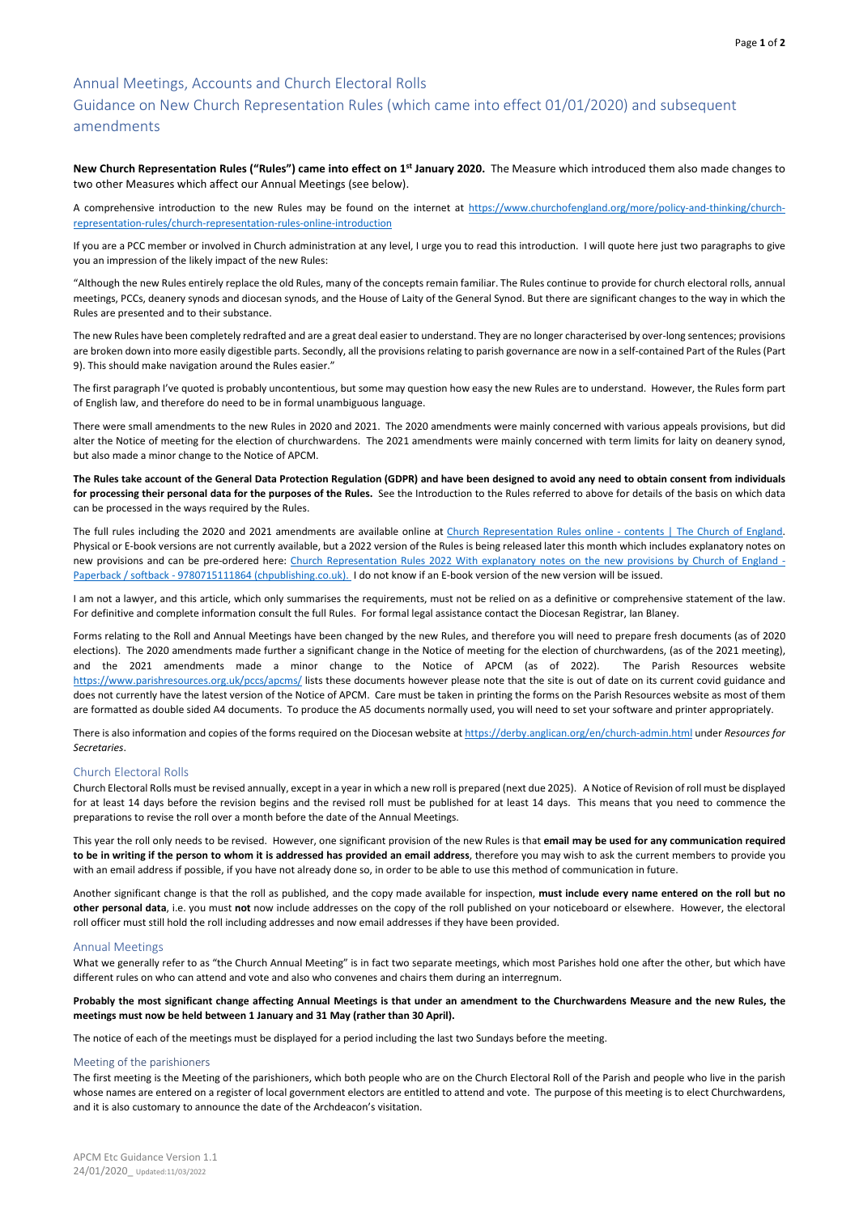APCM Etc Guidance Version 1.1 24/01/2020\_ Updated:11/03/2022

# Annual Meetings, Accounts and Church Electoral Rolls

# Guidance on New Church Representation Rules (which came into effect 01/01/2020) and subsequent amendments

**New Church Representation Rules ("Rules") came into effect on 1st January 2020.** The Measure which introduced them also made changes to two other Measures which affect our Annual Meetings (see below).

A comprehensive introduction to the new Rules may be found on the internet at [https://www.churchofengland.org/more/policy-and-thinking/church](https://www.churchofengland.org/more/policy-and-thinking/church-representation-rules/church-representation-rules-online-introduction)[representation-rules/church-representation-rules-online-introduction](https://www.churchofengland.org/more/policy-and-thinking/church-representation-rules/church-representation-rules-online-introduction)

If you are a PCC member or involved in Church administration at any level, I urge you to read this introduction. I will quote here just two paragraphs to give you an impression of the likely impact of the new Rules:

"Although the new Rules entirely replace the old Rules, many of the concepts remain familiar. The Rules continue to provide for church electoral rolls, annual meetings, PCCs, deanery synods and diocesan synods, and the House of Laity of the General Synod. But there are significant changes to the way in which the Rules are presented and to their substance.

The full rules including the 2020 and 2021 amendments are available online at [Church Representation Rules online -](https://www.churchofengland.org/about/leadership-and-governance/legal-services/church-representation-rules/contents) contents | The Church of England. Physical or E-book versions are not currently available, but a 2022 version of the Rules is being released later this month which includes explanatory notes on new provisions and can be pre-ordered here: [Church Representation Rules 2022 With explanatory notes on the new provisions by Church of England -](https://www.chpublishing.co.uk/books/9780715111864/church-representation-rules-2022) Paperback / softback - [9780715111864 \(chpublishing.co.uk\).](https://www.chpublishing.co.uk/books/9780715111864/church-representation-rules-2022) I do not know if an E-book version of the new version will be issued.

The new Rules have been completely redrafted and are a great deal easier to understand. They are no longer characterised by over-long sentences; provisions are broken down into more easily digestible parts. Secondly, all the provisions relating to parish governance are now in a self-contained Part of the Rules (Part 9). This should make navigation around the Rules easier."

The first paragraph I've quoted is probably uncontentious, but some may question how easy the new Rules are to understand. However, the Rules form part of English law, and therefore do need to be in formal unambiguous language.

There were small amendments to the new Rules in 2020 and 2021. The 2020 amendments were mainly concerned with various appeals provisions, but did alter the Notice of meeting for the election of churchwardens. The 2021 amendments were mainly concerned with term limits for laity on deanery synod, but also made a minor change to the Notice of APCM.

**The Rules take account of the General Data Protection Regulation (GDPR) and have been designed to avoid any need to obtain consent from individuals for processing their personal data for the purposes of the Rules.** See the Introduction to the Rules referred to above for details of the basis on which data can be processed in the ways required by the Rules.

I am not a lawyer, and this article, which only summarises the requirements, must not be relied on as a definitive or comprehensive statement of the law. For definitive and complete information consult the full Rules. For formal legal assistance contact the Diocesan Registrar, Ian Blaney.

Forms relating to the Roll and Annual Meetings have been changed by the new Rules, and therefore you will need to prepare fresh documents (as of 2020 elections). The 2020 amendments made further a significant change in the Notice of meeting for the election of churchwardens, (as of the 2021 meeting), and the 2021 amendments made a minor change to the Notice of APCM (as of 2022). The Parish Resources website <https://www.parishresources.org.uk/pccs/apcms/> lists these documents however please note that the site is out of date on its current covid guidance and does not currently have the latest version of the Notice of APCM. Care must be taken in printing the forms on the Parish Resources website as most of them are formatted as double sided A4 documents. To produce the A5 documents normally used, you will need to set your software and printer appropriately.

There is also information and copies of the forms required on the Diocesan website a[t https://derby.anglican.org/en/church-admin.html](https://derby.anglican.org/en/church-admin.html) under *Resources for Secretaries*.

## Church Electoral Rolls

Church Electoral Rolls must be revised annually, except in a year in which a new roll is prepared (next due 2025). A Notice of Revision of roll must be displayed for at least 14 days before the revision begins and the revised roll must be published for at least 14 days. This means that you need to commence the preparations to revise the roll over a month before the date of the Annual Meetings.

This year the roll only needs to be revised. However, one significant provision of the new Rules is that **email may be used for any communication required to be in writing if the person to whom it is addressed has provided an email address**, therefore you may wish to ask the current members to provide you with an email address if possible, if you have not already done so, in order to be able to use this method of communication in future.

Another significant change is that the roll as published, and the copy made available for inspection, **must include every name entered on the roll but no other personal data**, i.e. you must **not** now include addresses on the copy of the roll published on your noticeboard or elsewhere. However, the electoral

roll officer must still hold the roll including addresses and now email addresses if they have been provided.

# Annual Meetings

What we generally refer to as "the Church Annual Meeting" is in fact two separate meetings, which most Parishes hold one after the other, but which have different rules on who can attend and vote and also who convenes and chairs them during an interregnum.

**Probably the most significant change affecting Annual Meetings is that under an amendment to the Churchwardens Measure and the new Rules, the meetings must now be held between 1 January and 31 May (rather than 30 April).**

The notice of each of the meetings must be displayed for a period including the last two Sundays before the meeting.

#### Meeting of the parishioners

The first meeting is the Meeting of the parishioners, which both people who are on the Church Electoral Roll of the Parish and people who live in the parish whose names are entered on a register of local government electors are entitled to attend and vote. The purpose of this meeting is to elect Churchwardens, and it is also customary to announce the date of the Archdeacon's visitation.